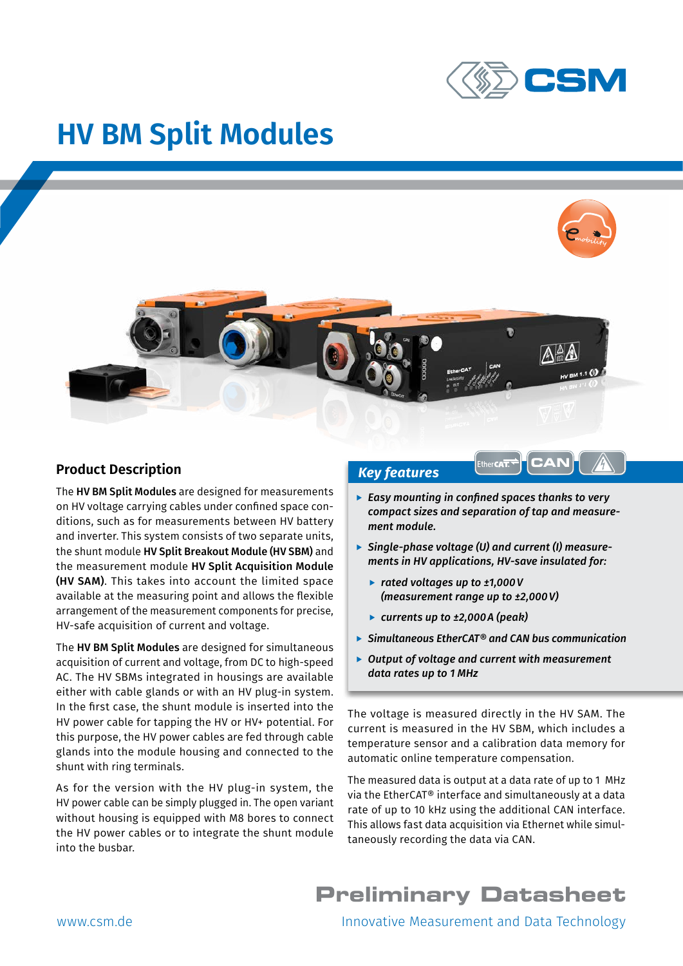

# **HV BM Split Modules**



#### **Product Description**

The HV BM Split Modules are designed for measurements on HV voltage carrying cables under confined space conditions, such as for measurements between HV battery and inverter. This system consists of two separate units, the shunt module HV Split Breakout Module (HV SBM) and the measurement module HV Split Acquisition Module (HV SAM). This takes into account the limited space available at the measuring point and allows the flexible arrangement of the measurement components for precise, HV-safe acquisition of current and voltage.

The HV BM Split Modules are designed for simultaneous acquisition of current and voltage, from DC to high-speed AC. The HV SBMs integrated in housings are available either with cable glands or with an HV plug-in system. In the first case, the shunt module is inserted into the HV power cable for tapping the HV or HV+ potential. For this purpose, the HV power cables are fed through cable glands into the module housing and connected to the shunt with ring terminals.

As for the version with the HV plug-in system, the HV power cable can be simply plugged in. The open variant without housing is equipped with M8 bores to connect the HV power cables or to integrate the shunt module into the busbar.

#### *Key features*

**Easy mounting in confined spaces thanks to very** *compact sizes and separation of tap and measurement module.*

Ether**CAT.** 

**CAN**

- ▶ Single-phase voltage (U) and current (I) measure*ments in HV applications, HV-save insulated for:*
	- f *rated voltages up to ±1,000V (measurement range up to ±2,000V)*
	- f *currents up to ±2,000A (peak)*
- f *Simultaneous EtherCAT® and CAN bus communication*
- ▶ Output of voltage and current with measurement *data rates up to 1 MHz*

The voltage is measured directly in the HV SAM. The current is measured in the HV SBM, which includes a temperature sensor and a calibration data memory for automatic online temperature compensation.

The measured data is output at a data rate of up to 1 MHz via the EtherCAT® interface and simultaneously at a data rate of up to 10 kHz using the additional CAN interface. This allows fast data acquisition via Ethernet while simultaneously recording the data via CAN.

## **Preliminary Datasheet**

www.csm.de **Innovative Measurement and Data Technology**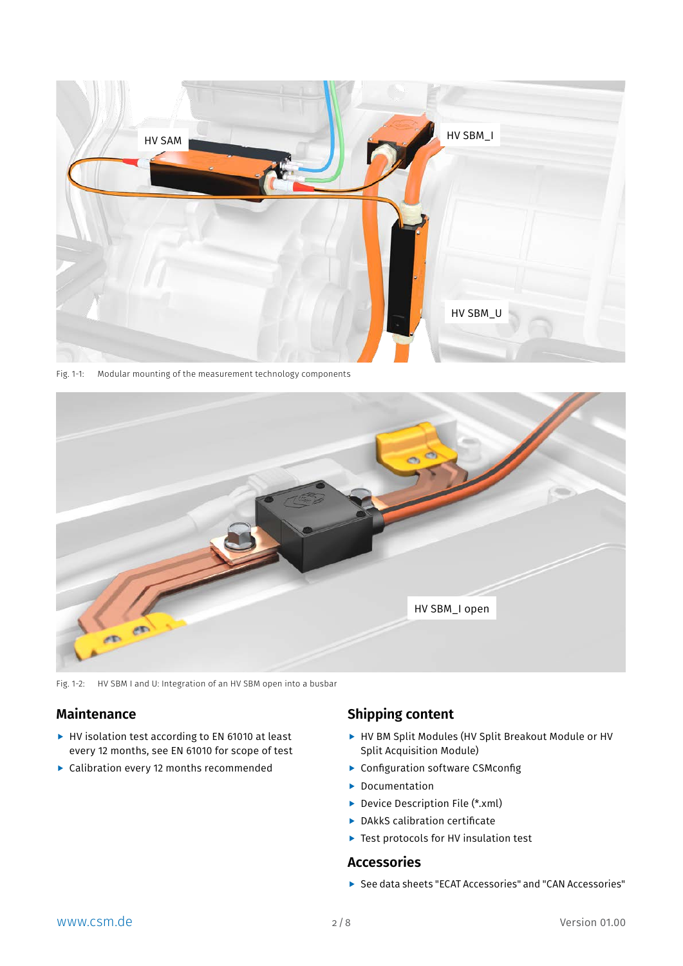

Fig. 1-1: Modular mounting of the measurement technology components



Fig. 1-2: HV SBM I and U: Integration of an HV SBM open into a busbar

#### **Maintenance**

- $\blacktriangleright$  HV isolation test according to EN 61010 at least every 12 months, see EN 61010 for scope of test
- $\blacktriangleright$  Calibration every 12 months recommended

## **Shipping content**

- $\blacktriangleright$  HV BM Split Modules (HV Split Breakout Module or HV Split Acquisition Module)
- $\blacktriangleright$  Configuration software CSMconfig
- $\blacktriangleright$  Documentation
- $\triangleright$  Device Description File (\*.xml)
- $\blacktriangleright$  DAkkS calibration certificate
- $\blacktriangleright$  Test protocols for HV insulation test

#### **Accessories**

**F** See data sheets "ECAT Accessories" and "CAN Accessories"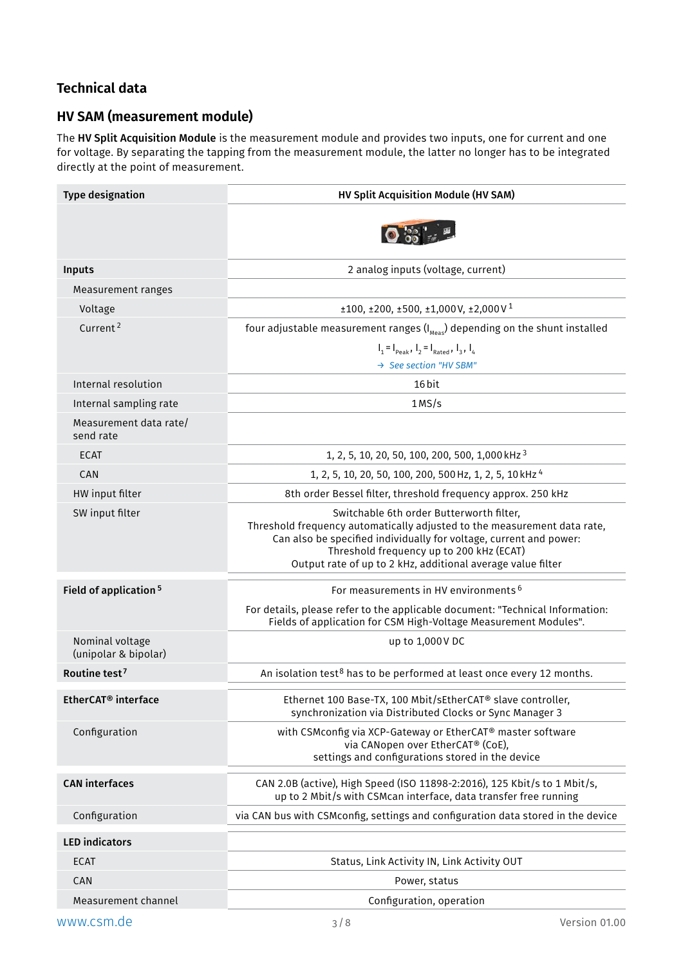## <span id="page-2-0"></span>**Technical data**

## **HV SAM (measurement module)**

The HV Split Acquisition Module is the measurement module and provides two inputs, one for current and one for voltage. By separating the tapping from the measurement module, the latter no longer has to be integrated directly at the point of measurement.

| <b>Type designation</b>                 | HV Split Acquisition Module (HV SAM)                                                                                                                                                                                                                                                                  |  |  |  |
|-----------------------------------------|-------------------------------------------------------------------------------------------------------------------------------------------------------------------------------------------------------------------------------------------------------------------------------------------------------|--|--|--|
|                                         |                                                                                                                                                                                                                                                                                                       |  |  |  |
| Inputs                                  | 2 analog inputs (voltage, current)                                                                                                                                                                                                                                                                    |  |  |  |
| Measurement ranges                      |                                                                                                                                                                                                                                                                                                       |  |  |  |
| Voltage                                 | $\pm 100, \pm 200, \pm 500, \pm 1,000$ V, $\pm 2,000$ V <sup>1</sup>                                                                                                                                                                                                                                  |  |  |  |
| Current <sup>2</sup>                    | four adjustable measurement ranges $(I_{\text{Meas}})$ depending on the shunt installed                                                                                                                                                                                                               |  |  |  |
|                                         | $I_1 = I_{\text{peak}}$ , $I_2 = I_{\text{Rated}}$ , $I_3$ , $I_4$<br>→ See section "HV SBM"                                                                                                                                                                                                          |  |  |  |
| Internal resolution                     | 16 bit                                                                                                                                                                                                                                                                                                |  |  |  |
| Internal sampling rate                  | 1MS/s                                                                                                                                                                                                                                                                                                 |  |  |  |
| Measurement data rate/<br>send rate     |                                                                                                                                                                                                                                                                                                       |  |  |  |
| <b>ECAT</b>                             | 1, 2, 5, 10, 20, 50, 100, 200, 500, 1,000 kHz 3                                                                                                                                                                                                                                                       |  |  |  |
| CAN                                     | 1, 2, 5, 10, 20, 50, 100, 200, 500 Hz, 1, 2, 5, 10 kHz <sup>4</sup>                                                                                                                                                                                                                                   |  |  |  |
| HW input filter                         | 8th order Bessel filter, threshold frequency approx. 250 kHz                                                                                                                                                                                                                                          |  |  |  |
| SW input filter                         | Switchable 6th order Butterworth filter,<br>Threshold frequency automatically adjusted to the measurement data rate,<br>Can also be specified individually for voltage, current and power:<br>Threshold frequency up to 200 kHz (ECAT)<br>Output rate of up to 2 kHz, additional average value filter |  |  |  |
| Field of application <sup>5</sup>       | For measurements in HV environments <sup>6</sup>                                                                                                                                                                                                                                                      |  |  |  |
|                                         | For details, please refer to the applicable document: "Technical Information:<br>Fields of application for CSM High-Voltage Measurement Modules".                                                                                                                                                     |  |  |  |
| Nominal voltage<br>(unipolar & bipolar) | up to 1,000 V DC                                                                                                                                                                                                                                                                                      |  |  |  |
| Routine test <sup>7</sup>               | An isolation test <sup>8</sup> has to be performed at least once every 12 months.                                                                                                                                                                                                                     |  |  |  |
| EtherCAT <sup>®</sup> interface         | Ethernet 100 Base-TX, 100 Mbit/sEtherCAT® slave controller,<br>synchronization via Distributed Clocks or Sync Manager 3                                                                                                                                                                               |  |  |  |
| Configuration                           | with CSMconfig via XCP-Gateway or EtherCAT® master software<br>via CANopen over EtherCAT® (CoE),<br>settings and configurations stored in the device                                                                                                                                                  |  |  |  |
| <b>CAN</b> interfaces                   | CAN 2.0B (active), High Speed (ISO 11898-2:2016), 125 Kbit/s to 1 Mbit/s,<br>up to 2 Mbit/s with CSMcan interface, data transfer free running                                                                                                                                                         |  |  |  |
| Configuration                           | via CAN bus with CSMconfig, settings and configuration data stored in the device                                                                                                                                                                                                                      |  |  |  |
| <b>LED</b> indicators                   |                                                                                                                                                                                                                                                                                                       |  |  |  |
| <b>ECAT</b>                             | Status, Link Activity IN, Link Activity OUT                                                                                                                                                                                                                                                           |  |  |  |
| CAN                                     | Power, status                                                                                                                                                                                                                                                                                         |  |  |  |
| Measurement channel                     | Configuration, operation                                                                                                                                                                                                                                                                              |  |  |  |

www.csm.de 3/8 Version 01.00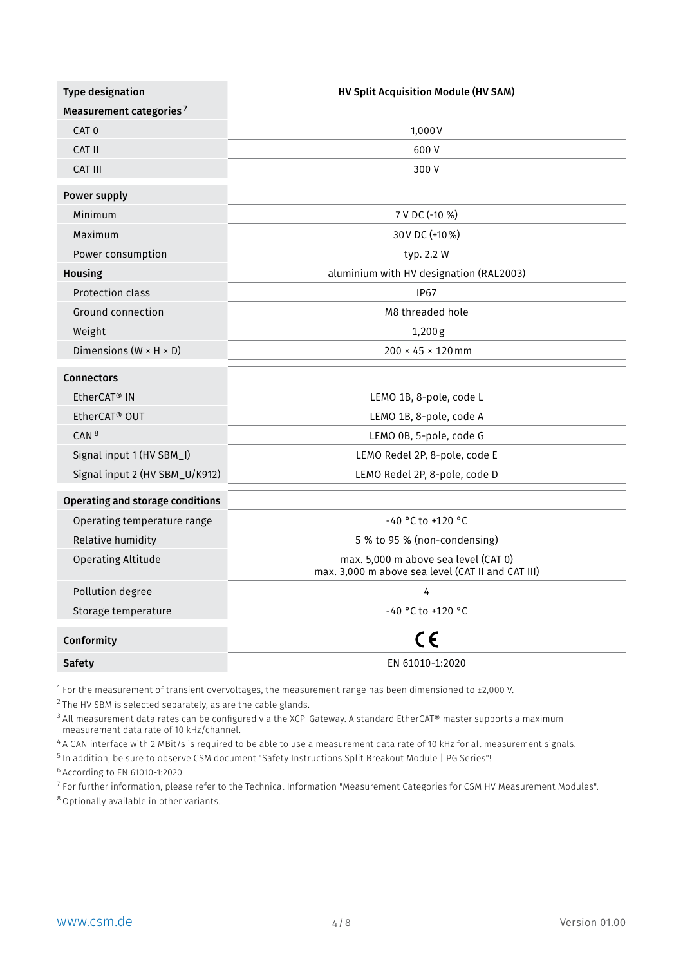<span id="page-3-0"></span>

| <b>Type designation</b>                 | HV Split Acquisition Module (HV SAM)                                                      |  |  |
|-----------------------------------------|-------------------------------------------------------------------------------------------|--|--|
| Measurement categories <sup>7</sup>     |                                                                                           |  |  |
| CAT <sub>0</sub>                        | 1,000V                                                                                    |  |  |
| CAT II                                  | 600V                                                                                      |  |  |
| <b>CAT III</b>                          | 300 V                                                                                     |  |  |
| <b>Power supply</b>                     |                                                                                           |  |  |
| Minimum                                 | 7 V DC (-10 %)                                                                            |  |  |
| Maximum                                 | 30 V DC (+10 %)                                                                           |  |  |
| Power consumption                       | typ. 2.2 W                                                                                |  |  |
| <b>Housing</b>                          | aluminium with HV designation (RAL2003)                                                   |  |  |
| <b>Protection class</b>                 | <b>IP67</b>                                                                               |  |  |
| <b>Ground connection</b>                | M8 threaded hole                                                                          |  |  |
| Weight                                  | 1,200g                                                                                    |  |  |
| Dimensions ( $W \times H \times D$ )    | $200 \times 45 \times 120$ mm                                                             |  |  |
| <b>Connectors</b>                       |                                                                                           |  |  |
| EtherCAT <sup>®</sup> IN                | LEMO 1B, 8-pole, code L                                                                   |  |  |
| EtherCAT <sup>®</sup> OUT               | LEMO 1B, 8-pole, code A                                                                   |  |  |
| CAN <sup>8</sup>                        | LEMO 0B, 5-pole, code G                                                                   |  |  |
| Signal input 1 (HV SBM_I)               | LEMO Redel 2P, 8-pole, code E                                                             |  |  |
| Signal input 2 (HV SBM_U/K912)          | LEMO Redel 2P, 8-pole, code D                                                             |  |  |
| <b>Operating and storage conditions</b> |                                                                                           |  |  |
| Operating temperature range             | $-40$ °C to +120 °C                                                                       |  |  |
| Relative humidity                       | 5 % to 95 % (non-condensing)                                                              |  |  |
| <b>Operating Altitude</b>               | max. 5,000 m above sea level (CAT 0)<br>max. 3,000 m above sea level (CAT II and CAT III) |  |  |
| Pollution degree                        | 4                                                                                         |  |  |
| Storage temperature                     | -40 °C to +120 °C                                                                         |  |  |
| Conformity                              | CE                                                                                        |  |  |
| <b>Safety</b>                           | EN 61010-1:2020                                                                           |  |  |

<sup>[1](#page-2-0)</sup> For the measurement of transient overvoltages, the measurement range has been dimensioned to ±2,000 V.

 $2$  The HV SBM is selected separately, as are the cable glands.

<sup>[3](#page-2-0)</sup> All measurement data rates can be configured via the XCP-Gateway. A standard EtherCAT® master supports a maximum measurement data rate of 10 kHz/channel.

[4](#page-2-0) A CAN interface with 2 MBit/s is required to be able to use a measurement data rate of 10 kHz for all measurement signals.

<sup>[5](#page-2-0)</sup> In addition, be sure to observe CSM document "Safety Instructions Split Breakout Module | PG Series"!

[6](#page-2-0) According to EN 61010-1:2020

<sup>7</sup> For further information, please refer to the Technical Information "Measurement Categories for CSM HV Measurement Modules".

<sup>8</sup> Optionally available in other variants.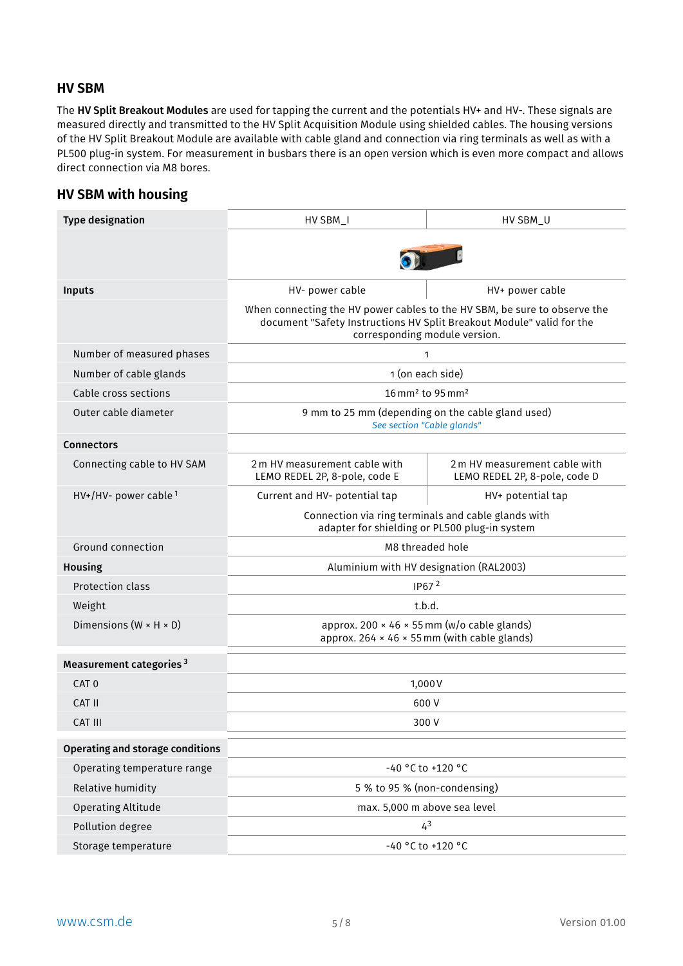#### <span id="page-4-0"></span>**HV SBM**

The HV Split Breakout Modules are used for tapping the current and the potentials HV+ and HV-. These signals are measured directly and transmitted to the HV Split Acquisition Module using shielded cables. The housing versions of the HV Split Breakout Module are available with cable gland and connection via ring terminals as well as with a PL500 plug-in system. For measurement in busbars there is an open version which is even more compact and allows direct connection via M8 bores.

#### **HV SBM with housing**

| <b>Type designation</b>              | HV SBM_I<br>HV SBM_U                                                                                                                                                                |                                                                |  |  |
|--------------------------------------|-------------------------------------------------------------------------------------------------------------------------------------------------------------------------------------|----------------------------------------------------------------|--|--|
|                                      |                                                                                                                                                                                     |                                                                |  |  |
|                                      |                                                                                                                                                                                     |                                                                |  |  |
| <b>Inputs</b>                        | HV- power cable<br>HV+ power cable                                                                                                                                                  |                                                                |  |  |
|                                      | When connecting the HV power cables to the HV SBM, be sure to observe the<br>document "Safety Instructions HV Split Breakout Module" valid for the<br>corresponding module version. |                                                                |  |  |
| Number of measured phases            |                                                                                                                                                                                     | 1                                                              |  |  |
| Number of cable glands               |                                                                                                                                                                                     | 1 (on each side)                                               |  |  |
| Cable cross sections                 |                                                                                                                                                                                     | 16 mm <sup>2</sup> to 95 mm <sup>2</sup>                       |  |  |
| Outer cable diameter                 | 9 mm to 25 mm (depending on the cable gland used)<br>See section "Cable glands"                                                                                                     |                                                                |  |  |
| <b>Connectors</b>                    |                                                                                                                                                                                     |                                                                |  |  |
| Connecting cable to HV SAM           | 2 m HV measurement cable with<br>LEMO REDEL 2P, 8-pole, code E                                                                                                                      | 2 m HV measurement cable with<br>LEMO REDEL 2P, 8-pole, code D |  |  |
| $HV+/HV-$ power cable $^1$           | Current and HV- potential tap                                                                                                                                                       | HV+ potential tap                                              |  |  |
|                                      | Connection via ring terminals and cable glands with<br>adapter for shielding or PL500 plug-in system                                                                                |                                                                |  |  |
| Ground connection                    | M8 threaded hole                                                                                                                                                                    |                                                                |  |  |
| <b>Housing</b>                       | Aluminium with HV designation (RAL2003)                                                                                                                                             |                                                                |  |  |
| Protection class                     |                                                                                                                                                                                     | IP67 $2$                                                       |  |  |
| Weight                               | t.b.d.                                                                                                                                                                              |                                                                |  |  |
| Dimensions ( $W \times H \times D$ ) | approx. 200 × 46 × 55 mm (w/o cable glands)<br>approx. 264 $\times$ 46 $\times$ 55 mm (with cable glands)                                                                           |                                                                |  |  |
| Measurement categories <sup>3</sup>  |                                                                                                                                                                                     |                                                                |  |  |
| CAT <sub>0</sub>                     | 1,000V                                                                                                                                                                              |                                                                |  |  |
| CAT II                               | 600 V                                                                                                                                                                               |                                                                |  |  |
| <b>CAT III</b>                       | 300 V                                                                                                                                                                               |                                                                |  |  |
| Operating and storage conditions     |                                                                                                                                                                                     |                                                                |  |  |
| Operating temperature range          |                                                                                                                                                                                     | -40 °C to +120 °C                                              |  |  |
| Relative humidity                    | 5 % to 95 % (non-condensing)                                                                                                                                                        |                                                                |  |  |
| <b>Operating Altitude</b>            | max. 5,000 m above sea level                                                                                                                                                        |                                                                |  |  |
| Pollution degree                     | 4 <sup>3</sup>                                                                                                                                                                      |                                                                |  |  |
| Storage temperature                  | -40 °C to +120 °C                                                                                                                                                                   |                                                                |  |  |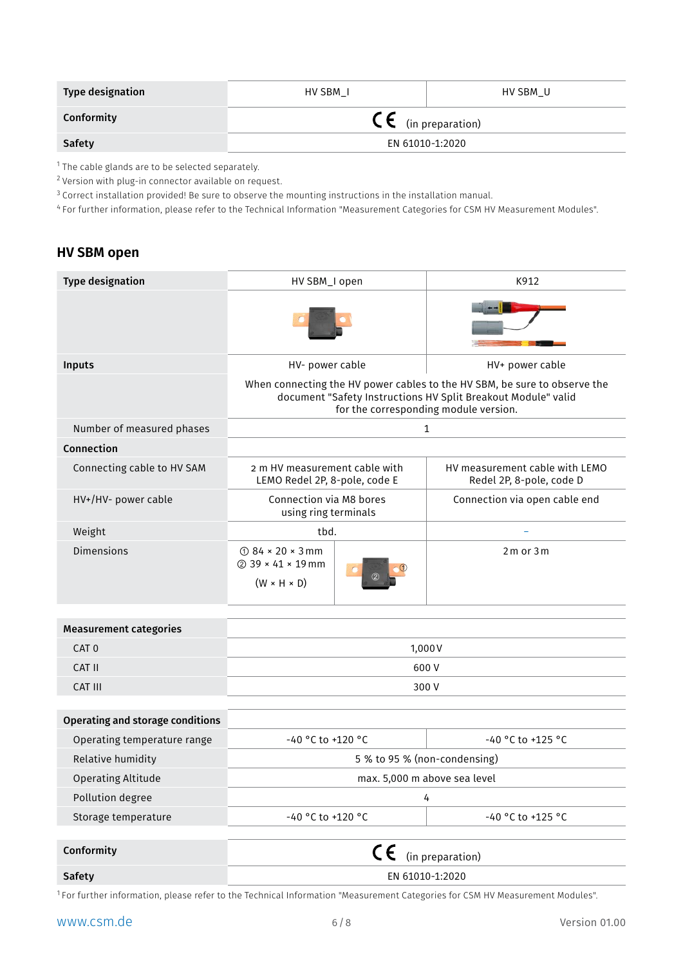| <b>Type designation</b> | HV SBM I                       | HV SBM U |  |  |  |
|-------------------------|--------------------------------|----------|--|--|--|
| Conformity              | $\mathsf{CE}$ (in preparation) |          |  |  |  |
| <b>Safety</b>           | EN 61010-1:2020                |          |  |  |  |

<sup>1</sup> The cable glands are to be selected separately.

<sup>2</sup> Version with plug-in connector available on request.

<sup>3</sup> Correct installation provided! Be sure to observe the mounting instructions in the installation manual.

<sup>4</sup> For further information, please refer to the Technical Information "Measurement Categories for CSM HV Measurement Modules".

#### **HV SBM open**

| <b>Type designation</b>                 | HV SBM_I open                                                                                                                                                                       |              | K912                                                       |  |
|-----------------------------------------|-------------------------------------------------------------------------------------------------------------------------------------------------------------------------------------|--------------|------------------------------------------------------------|--|
|                                         |                                                                                                                                                                                     |              |                                                            |  |
| Inputs                                  | HV- power cable                                                                                                                                                                     |              | HV+ power cable                                            |  |
|                                         | When connecting the HV power cables to the HV SBM, be sure to observe the<br>document "Safety Instructions HV Split Breakout Module" valid<br>for the corresponding module version. |              |                                                            |  |
| Number of measured phases               |                                                                                                                                                                                     | $\mathbf{1}$ |                                                            |  |
| Connection                              |                                                                                                                                                                                     |              |                                                            |  |
| Connecting cable to HV SAM              | 2 m HV measurement cable with<br>LEMO Redel 2P, 8-pole, code E                                                                                                                      |              | HV measurement cable with LEMO<br>Redel 2P, 8-pole, code D |  |
| HV+/HV- power cable                     | Connection via M8 bores<br>using ring terminals                                                                                                                                     |              | Connection via open cable end                              |  |
| Weight                                  | tbd.                                                                                                                                                                                |              |                                                            |  |
| <b>Dimensions</b>                       | $\odot$ 84 × 20 × 3 mm<br>2 39 × 41 × 19 mm<br>$(W \times H \times D)$                                                                                                              |              | $2m$ or $3m$                                               |  |
| <b>Measurement categories</b>           |                                                                                                                                                                                     |              |                                                            |  |
| CAT <sub>0</sub>                        | 1,000V                                                                                                                                                                              |              |                                                            |  |
| CAT II                                  |                                                                                                                                                                                     | 600V         |                                                            |  |
| CAT III                                 | 300 V                                                                                                                                                                               |              |                                                            |  |
|                                         |                                                                                                                                                                                     |              |                                                            |  |
| <b>Operating and storage conditions</b> |                                                                                                                                                                                     |              |                                                            |  |
| Operating temperature range             | -40 °C to +120 °C                                                                                                                                                                   |              | $-40$ °C to +125 °C                                        |  |
| Relative humidity                       | 5 % to 95 % (non-condensing)                                                                                                                                                        |              |                                                            |  |
| <b>Operating Altitude</b>               | max. 5,000 m above sea level                                                                                                                                                        |              |                                                            |  |
| Pollution degree                        | 4                                                                                                                                                                                   |              |                                                            |  |
| Storage temperature                     | -40 °C to +120 °C                                                                                                                                                                   |              | -40 °C to +125 °C                                          |  |
| Conformity                              |                                                                                                                                                                                     |              |                                                            |  |
|                                         | CE<br>(in preparation)                                                                                                                                                              |              |                                                            |  |
| <b>Safety</b>                           | EN 61010-1:2020                                                                                                                                                                     |              |                                                            |  |

<sup>1</sup> For further information, please refer to the Technical Information "Measurement Categories for CSM HV Measurement Modules".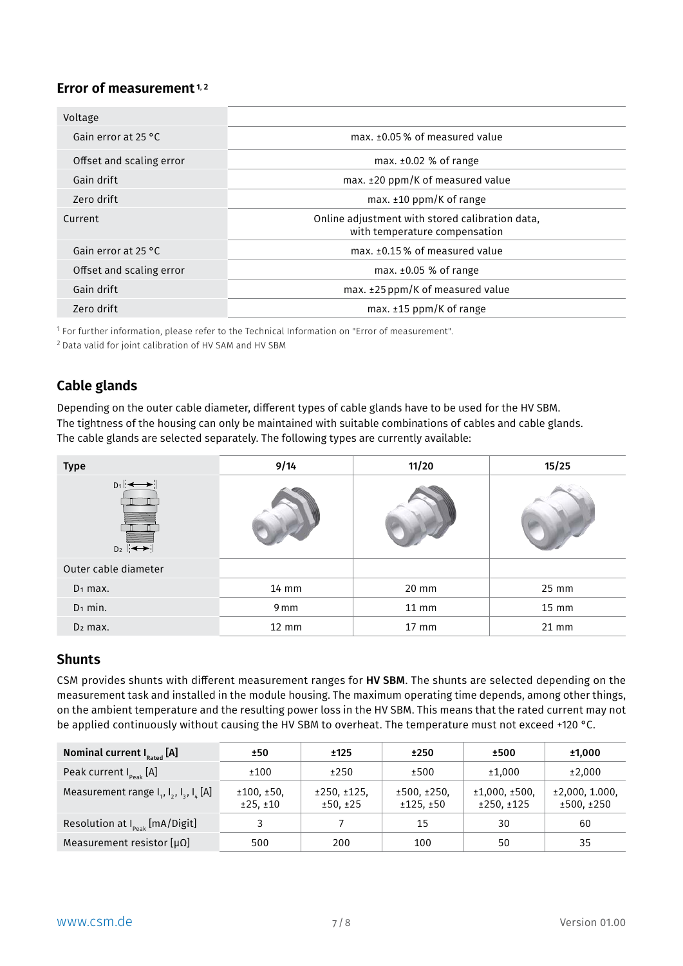#### Error of measurement<sup>1,2</sup>

| Voltage                       |                                                                                  |  |  |  |
|-------------------------------|----------------------------------------------------------------------------------|--|--|--|
| Gain error at 25 $^{\circ}$ C | max. ±0.05% of measured value                                                    |  |  |  |
| Offset and scaling error      | max. $\pm 0.02$ % of range                                                       |  |  |  |
| Gain drift                    | $max. \pm 20$ ppm/K of measured value                                            |  |  |  |
| Zero drift                    | max. $\pm 10$ ppm/K of range                                                     |  |  |  |
| Current                       | Online adjustment with stored calibration data,<br>with temperature compensation |  |  |  |
| Gain error at 25 °C           | max. ±0.15% of measured value                                                    |  |  |  |
| Offset and scaling error      | max. $\pm 0.05$ % of range                                                       |  |  |  |
| Gain drift                    | max. ±25 ppm/K of measured value                                                 |  |  |  |
| Zero drift                    | max. $±15$ ppm/K of range                                                        |  |  |  |

<sup>1</sup> For further information, please refer to the Technical Information on "Error of measurement".

<sup>2</sup> Data valid for joint calibration of HV SAM and HV SBM

## <span id="page-6-0"></span>**Cable glands**

Depending on the outer cable diameter, different types of cable glands have to be used for the HV SBM. The tightness of the housing can only be maintained with suitable combinations of cables and cable glands. The cable glands are selected separately. The following types are currently available:

| <b>Type</b>                                                                 | 9/14  | 11/20   | 15/25 |  |
|-----------------------------------------------------------------------------|-------|---------|-------|--|
| $D_1$ $\longleftrightarrow$<br>$D_2$ $\overline{ \leftarrow \rightarrow  }$ |       |         |       |  |
| Outer cable diameter                                                        |       |         |       |  |
| $D_1$ max.                                                                  | 14 mm | 20 mm   | 25 mm |  |
| $D_1$ min.                                                                  | 9 mm  | $11$ mm | 15 mm |  |
| $D_2$ max.                                                                  | 12 mm | 17 mm   | 21 mm |  |

### **Shunts**

CSM provides shunts with different measurement ranges for HV SBM. The shunts are selected depending on the measurement task and installed in the module housing. The maximum operating time depends, among other things, on the ambient temperature and the resulting power loss in the HV SBM. This means that the rated current may not be applied continuously without causing the HV SBM to overheat. The temperature must not exceed +120 °C.

| Nominal current $I_{\text{Rated}}$ [A]              | ±50                    | ±125                    | ±250                    | ±500                       | ±1,000                      |
|-----------------------------------------------------|------------------------|-------------------------|-------------------------|----------------------------|-----------------------------|
| Peak current $I_{\text{peak}}$ [A]                  | ±100                   | ±250                    | ±500                    | ±1,000                     | ±2,000                      |
| Measurement range $I_1$ , $I_2$ , $I_3$ , $I_L$ [A] | ±100, ±50,<br>±25, ±10 | ±250, ±125,<br>±50, ±25 | ±500, ±250.<br>±125,±50 | ±1,000,±500,<br>±250, ±125 | ±2,000,1.000,<br>±500, ±250 |
| Resolution at $I_{peak}$ [mA/Digit]                 | 3                      |                         | 15                      | 30                         | 60                          |
| Measurement resistor $[\mu \Omega]$                 | 500                    | 200                     | 100                     | 50                         | 35                          |